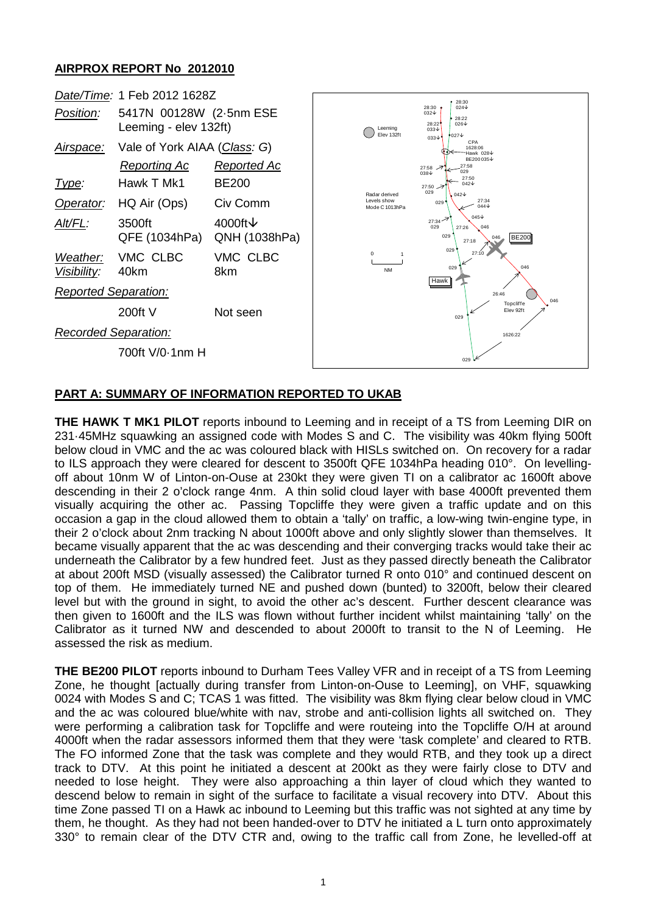## **AIRPROX REPORT No 2012010**

|                                 | Date/Time: 1 Feb 2012 1628Z                                                       |                                                                |                                                |                                                         | 28:30                                                                                                                                        |  |
|---------------------------------|-----------------------------------------------------------------------------------|----------------------------------------------------------------|------------------------------------------------|---------------------------------------------------------|----------------------------------------------------------------------------------------------------------------------------------------------|--|
| Position:                       | 5417N 00128W (2-5nm ESE<br>Leeming - elev 132ft)                                  |                                                                | Leeming<br>Elev 132ft                          | 28:30<br>$032\sqrt{ }$<br>28:22<br>$033\sqrt{ }$        | $024\sqrt{ }$<br>28:22<br>$026\sqrt{ }$<br>$9027\text{V}$<br>$033\sqrt{ }$                                                                   |  |
| Airspace:<br>Type:<br>Operator: | Vale of York AIAA (Class: G)<br><b>Reporting Ac</b><br>Hawk T Mk1<br>HQ Air (Ops) | Reported Ac<br><b>BE200</b><br>Civ Comm<br>4000ft $\downarrow$ | Radar derived<br>Levels show<br>Mode C 1013hPa | 27:58<br>$038\sqrt{ }$<br>27:50<br>029<br>029'<br>27:34 | <b>CPA</b><br>1628:06<br>Hawk 028 V<br>BE200035↓<br>27:58<br>029<br>27:50<br>042V<br>$042\sqrt{ }$<br>27:34<br>$044\sqrt$<br>$045\downarrow$ |  |
| Alt/FL:                         | 3500ft<br>QFE (1034hPa)                                                           | QNH (1038hPa)                                                  |                                                | 029<br>029                                              | 046<br>27:26<br><b>BE200</b><br>046<br>27:18                                                                                                 |  |
| Weather:<br>Visibility:         | VMC CLBC<br>40km                                                                  | VMC CLBC<br>8km                                                | $^{\circ}$<br><b>NM</b>                        | Hawk                                                    | 029<br>27:10<br>046<br>029                                                                                                                   |  |
| <b>Reported Separation:</b>     |                                                                                   |                                                                |                                                |                                                         | 26:46<br>046                                                                                                                                 |  |
|                                 | $200ft$ V                                                                         | Not seen                                                       |                                                |                                                         | Topcliffe<br>Elev 92ft<br>029                                                                                                                |  |
| <b>Recorded Separation:</b>     |                                                                                   |                                                                |                                                |                                                         | 1626:22                                                                                                                                      |  |
| 700ft V/0-1nm H                 |                                                                                   |                                                                |                                                |                                                         | 029                                                                                                                                          |  |

## **PART A: SUMMARY OF INFORMATION REPORTED TO UKAB**

**THE HAWK T MK1 PILOT** reports inbound to Leeming and in receipt of a TS from Leeming DIR on 231·45MHz squawking an assigned code with Modes S and C. The visibility was 40km flying 500ft below cloud in VMC and the ac was coloured black with HISLs switched on. On recovery for a radar to ILS approach they were cleared for descent to 3500ft QFE 1034hPa heading 010°. On levellingoff about 10nm W of Linton-on-Ouse at 230kt they were given TI on a calibrator ac 1600ft above descending in their 2 o'clock range 4nm. A thin solid cloud layer with base 4000ft prevented them visually acquiring the other ac. Passing Topcliffe they were given a traffic update and on this occasion a gap in the cloud allowed them to obtain a 'tally' on traffic, a low-wing twin-engine type, in their 2 o'clock about 2nm tracking N about 1000ft above and only slightly slower than themselves. It became visually apparent that the ac was descending and their converging tracks would take their ac underneath the Calibrator by a few hundred feet. Just as they passed directly beneath the Calibrator at about 200ft MSD (visually assessed) the Calibrator turned R onto 010° and continued descent on top of them. He immediately turned NE and pushed down (bunted) to 3200ft, below their cleared level but with the ground in sight, to avoid the other ac's descent. Further descent clearance was then given to 1600ft and the ILS was flown without further incident whilst maintaining 'tally' on the Calibrator as it turned NW and descended to about 2000ft to transit to the N of Leeming. He assessed the risk as medium.

**THE BE200 PILOT** reports inbound to Durham Tees Valley VFR and in receipt of a TS from Leeming Zone, he thought [actually during transfer from Linton-on-Ouse to Leeming], on VHF, squawking 0024 with Modes S and C; TCAS 1 was fitted. The visibility was 8km flying clear below cloud in VMC and the ac was coloured blue/white with nav, strobe and anti-collision lights all switched on. They were performing a calibration task for Topcliffe and were routeing into the Topcliffe O/H at around 4000ft when the radar assessors informed them that they were 'task complete' and cleared to RTB. The FO informed Zone that the task was complete and they would RTB, and they took up a direct track to DTV. At this point he initiated a descent at 200kt as they were fairly close to DTV and needed to lose height. They were also approaching a thin layer of cloud which they wanted to descend below to remain in sight of the surface to facilitate a visual recovery into DTV. About this time Zone passed TI on a Hawk ac inbound to Leeming but this traffic was not sighted at any time by them, he thought. As they had not been handed-over to DTV he initiated a L turn onto approximately 330° to remain clear of the DTV CTR and, owing to the traffic call from Zone, he levelled-off at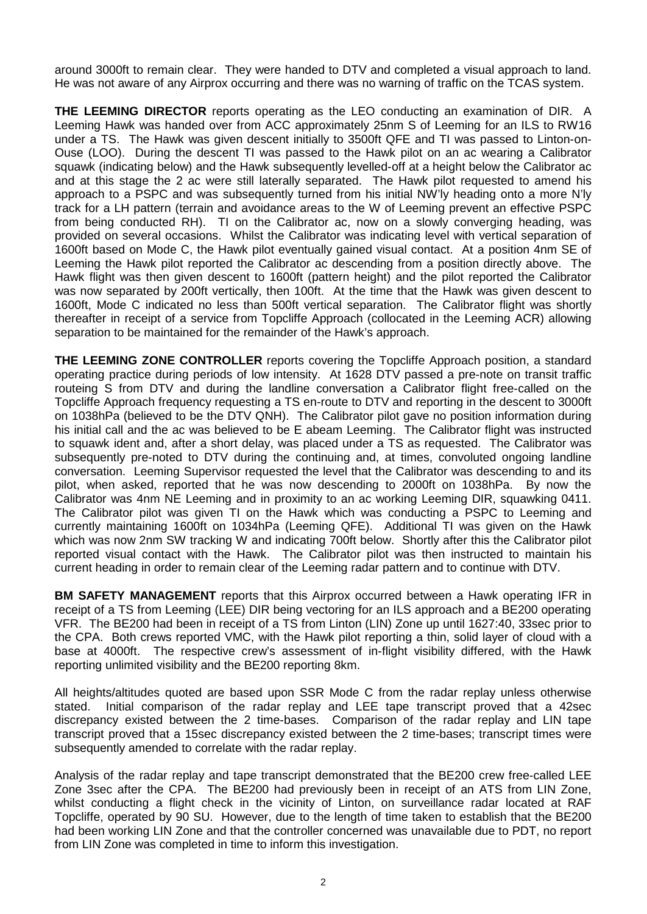around 3000ft to remain clear. They were handed to DTV and completed a visual approach to land. He was not aware of any Airprox occurring and there was no warning of traffic on the TCAS system.

**THE LEEMING DIRECTOR** reports operating as the LEO conducting an examination of DIR. A Leeming Hawk was handed over from ACC approximately 25nm S of Leeming for an ILS to RW16 under a TS. The Hawk was given descent initially to 3500ft QFE and TI was passed to Linton-on-Ouse (LOO). During the descent TI was passed to the Hawk pilot on an ac wearing a Calibrator squawk (indicating below) and the Hawk subsequently levelled-off at a height below the Calibrator ac and at this stage the 2 ac were still laterally separated. The Hawk pilot requested to amend his approach to a PSPC and was subsequently turned from his initial NW'ly heading onto a more N'ly track for a LH pattern (terrain and avoidance areas to the W of Leeming prevent an effective PSPC from being conducted RH). TI on the Calibrator ac, now on a slowly converging heading, was provided on several occasions. Whilst the Calibrator was indicating level with vertical separation of 1600ft based on Mode C, the Hawk pilot eventually gained visual contact. At a position 4nm SE of Leeming the Hawk pilot reported the Calibrator ac descending from a position directly above. The Hawk flight was then given descent to 1600ft (pattern height) and the pilot reported the Calibrator was now separated by 200ft vertically, then 100ft. At the time that the Hawk was given descent to 1600ft, Mode C indicated no less than 500ft vertical separation. The Calibrator flight was shortly thereafter in receipt of a service from Topcliffe Approach (collocated in the Leeming ACR) allowing separation to be maintained for the remainder of the Hawk's approach.

**THE LEEMING ZONE CONTROLLER** reports covering the Topcliffe Approach position, a standard operating practice during periods of low intensity. At 1628 DTV passed a pre-note on transit traffic routeing S from DTV and during the landline conversation a Calibrator flight free-called on the Topcliffe Approach frequency requesting a TS en-route to DTV and reporting in the descent to 3000ft on 1038hPa (believed to be the DTV QNH). The Calibrator pilot gave no position information during his initial call and the ac was believed to be E abeam Leeming. The Calibrator flight was instructed to squawk ident and, after a short delay, was placed under a TS as requested. The Calibrator was subsequently pre-noted to DTV during the continuing and, at times, convoluted ongoing landline conversation. Leeming Supervisor requested the level that the Calibrator was descending to and its pilot, when asked, reported that he was now descending to 2000ft on 1038hPa. By now the Calibrator was 4nm NE Leeming and in proximity to an ac working Leeming DIR, squawking 0411. The Calibrator pilot was given TI on the Hawk which was conducting a PSPC to Leeming and currently maintaining 1600ft on 1034hPa (Leeming QFE). Additional TI was given on the Hawk which was now 2nm SW tracking W and indicating 700ft below. Shortly after this the Calibrator pilot reported visual contact with the Hawk. The Calibrator pilot was then instructed to maintain his current heading in order to remain clear of the Leeming radar pattern and to continue with DTV.

**BM SAFETY MANAGEMENT** reports that this Airprox occurred between a Hawk operating IFR in receipt of a TS from Leeming (LEE) DIR being vectoring for an ILS approach and a BE200 operating VFR. The BE200 had been in receipt of a TS from Linton (LIN) Zone up until 1627:40, 33sec prior to the CPA. Both crews reported VMC, with the Hawk pilot reporting a thin, solid layer of cloud with a base at 4000ft. The respective crew's assessment of in-flight visibility differed, with the Hawk reporting unlimited visibility and the BE200 reporting 8km.

All heights/altitudes quoted are based upon SSR Mode C from the radar replay unless otherwise stated. Initial comparison of the radar replay and LEE tape transcript proved that a 42sec discrepancy existed between the 2 time-bases. Comparison of the radar replay and LIN tape transcript proved that a 15sec discrepancy existed between the 2 time-bases; transcript times were subsequently amended to correlate with the radar replay.

Analysis of the radar replay and tape transcript demonstrated that the BE200 crew free-called LEE Zone 3sec after the CPA. The BE200 had previously been in receipt of an ATS from LIN Zone, whilst conducting a flight check in the vicinity of Linton, on surveillance radar located at RAF Topcliffe, operated by 90 SU. However, due to the length of time taken to establish that the BE200 had been working LIN Zone and that the controller concerned was unavailable due to PDT, no report from LIN Zone was completed in time to inform this investigation.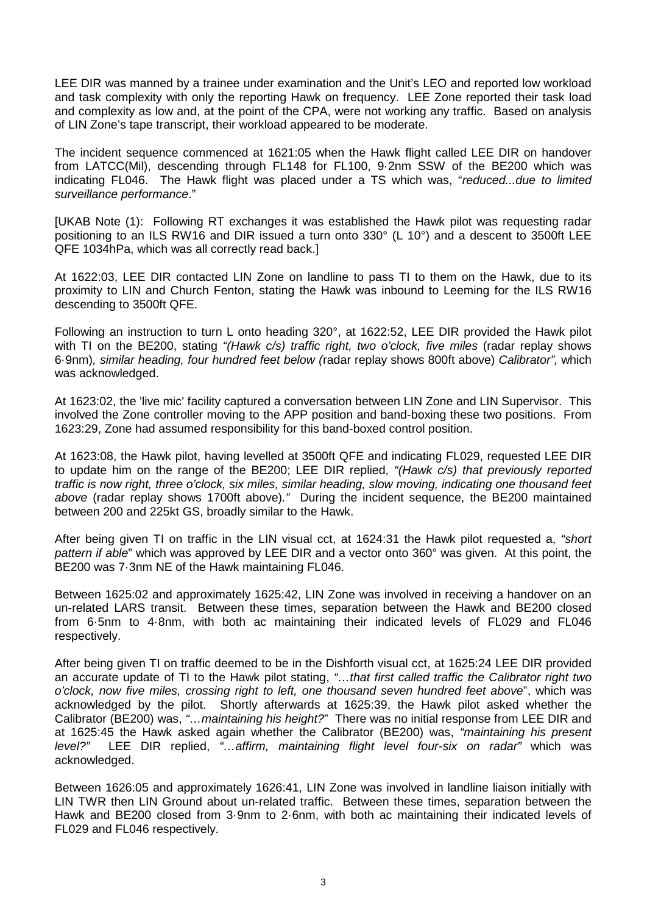LEE DIR was manned by a trainee under examination and the Unit's LEO and reported low workload and task complexity with only the reporting Hawk on frequency. LEE Zone reported their task load and complexity as low and, at the point of the CPA, were not working any traffic. Based on analysis of LIN Zone's tape transcript, their workload appeared to be moderate.

The incident sequence commenced at 1621:05 when the Hawk flight called LEE DIR on handover from LATCC(Mil), descending through FL148 for FL100, 9·2nm SSW of the BE200 which was indicating FL046. The Hawk flight was placed under a TS which was, "*reduced...due to limited surveillance performance*."

[UKAB Note (1): Following RT exchanges it was established the Hawk pilot was requesting radar positioning to an ILS RW16 and DIR issued a turn onto 330° (L 10°) and a descent to 3500ft LEE QFE 1034hPa, which was all correctly read back.]

At 1622:03, LEE DIR contacted LIN Zone on landline to pass TI to them on the Hawk, due to its proximity to LIN and Church Fenton, stating the Hawk was inbound to Leeming for the ILS RW16 descending to 3500ft QFE.

Following an instruction to turn L onto heading 320°, at 1622:52, LEE DIR provided the Hawk pilot with TI on the BE200, stating *"(Hawk c/s) traffic right, two o'clock, five miles* (radar replay shows 6·9nm)*, similar heading, four hundred feet below (*radar replay shows 800ft above) *Calibrator",* which was acknowledged.

At 1623:02, the 'live mic' facility captured a conversation between LIN Zone and LIN Supervisor. This involved the Zone controller moving to the APP position and band-boxing these two positions. From 1623:29, Zone had assumed responsibility for this band-boxed control position.

At 1623:08, the Hawk pilot, having levelled at 3500ft QFE and indicating FL029, requested LEE DIR to update him on the range of the BE200; LEE DIR replied, *"(Hawk c/s) that previously reported traffic is now right, three o'clock, six miles, similar heading, slow moving, indicating one thousand feet above* (radar replay shows 1700ft above)*."* During the incident sequence, the BE200 maintained between 200 and 225kt GS, broadly similar to the Hawk.

After being given TI on traffic in the LIN visual cct, at 1624:31 the Hawk pilot requested a, *"short pattern if able*" which was approved by LEE DIR and a vector onto 360° was given. At this point, the BE200 was 7·3nm NE of the Hawk maintaining FL046.

Between 1625:02 and approximately 1625:42, LIN Zone was involved in receiving a handover on an un-related LARS transit. Between these times, separation between the Hawk and BE200 closed from 6·5nm to 4·8nm, with both ac maintaining their indicated levels of FL029 and FL046 respectively.

After being given TI on traffic deemed to be in the Dishforth visual cct, at 1625:24 LEE DIR provided an accurate update of TI to the Hawk pilot stating, *"…that first called traffic the Calibrator right two o'clock, now five miles, crossing right to left, one thousand seven hundred feet above*", which was acknowledged by the pilot. Shortly afterwards at 1625:39, the Hawk pilot asked whether the Calibrator (BE200) was, *"…maintaining his height?*" There was no initial response from LEE DIR and at 1625:45 the Hawk asked again whether the Calibrator (BE200) was, *"maintaining his present level?"* LEE DIR replied, *"…affirm, maintaining flight level four-six on radar"* which was acknowledged.

Between 1626:05 and approximately 1626:41, LIN Zone was involved in landline liaison initially with LIN TWR then LIN Ground about un-related traffic. Between these times, separation between the Hawk and BE200 closed from 3·9nm to 2·6nm, with both ac maintaining their indicated levels of FL029 and FL046 respectively.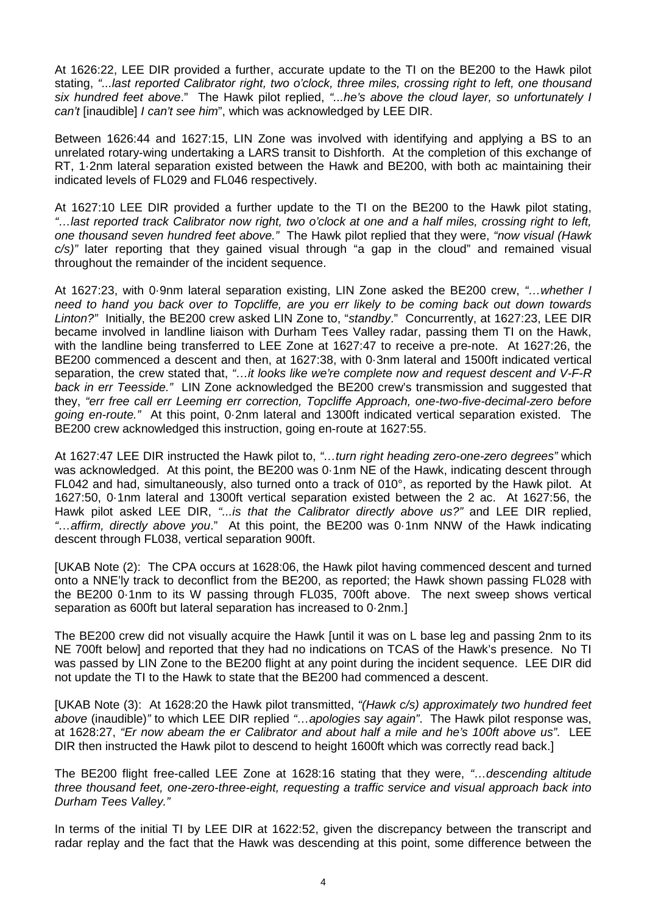At 1626:22, LEE DIR provided a further, accurate update to the TI on the BE200 to the Hawk pilot stating, *"...last reported Calibrator right, two o'clock, three miles, crossing right to left, one thousand six hundred feet above*." The Hawk pilot replied, *"...he's above the cloud layer, so unfortunately I can't* [inaudible] *I can't see him*", which was acknowledged by LEE DIR.

Between 1626:44 and 1627:15, LIN Zone was involved with identifying and applying a BS to an unrelated rotary-wing undertaking a LARS transit to Dishforth. At the completion of this exchange of RT, 1·2nm lateral separation existed between the Hawk and BE200, with both ac maintaining their indicated levels of FL029 and FL046 respectively.

At 1627:10 LEE DIR provided a further update to the TI on the BE200 to the Hawk pilot stating, *"…last reported track Calibrator now right, two o'clock at one and a half miles, crossing right to left, one thousand seven hundred feet above."* The Hawk pilot replied that they were, *"now visual (Hawk c/s)"* later reporting that they gained visual through "a gap in the cloud" and remained visual throughout the remainder of the incident sequence.

At 1627:23, with 0·9nm lateral separation existing, LIN Zone asked the BE200 crew, *"…whether I need to hand you back over to Topcliffe, are you err likely to be coming back out down towards Linton?"* Initially, the BE200 crew asked LIN Zone to, "*standby*." Concurrently, at 1627:23, LEE DIR became involved in landline liaison with Durham Tees Valley radar, passing them TI on the Hawk, with the landline being transferred to LEE Zone at 1627:47 to receive a pre-note. At 1627:26, the BE200 commenced a descent and then, at 1627:38, with 0·3nm lateral and 1500ft indicated vertical separation, the crew stated that, *"…it looks like we're complete now and request descent and V-F-R back in err Teesside."* LIN Zone acknowledged the BE200 crew's transmission and suggested that they, *"err free call err Leeming err correction, Topcliffe Approach, one-two-five-decimal-zero before going en-route."* At this point, 0·2nm lateral and 1300ft indicated vertical separation existed. The BE200 crew acknowledged this instruction, going en-route at 1627:55.

At 1627:47 LEE DIR instructed the Hawk pilot to, *"…turn right heading zero-one-zero degrees"* which was acknowledged. At this point, the BE200 was 0.1nm NE of the Hawk, indicating descent through FL042 and had, simultaneously, also turned onto a track of 010°, as reported by the Hawk pilot. At 1627:50, 0·1nm lateral and 1300ft vertical separation existed between the 2 ac. At 1627:56, the Hawk pilot asked LEE DIR, *"...is that the Calibrator directly above us?"* and LEE DIR replied, *"…affirm, directly above you*." At this point, the BE200 was 0·1nm NNW of the Hawk indicating descent through FL038, vertical separation 900ft.

[UKAB Note (2): The CPA occurs at 1628:06, the Hawk pilot having commenced descent and turned onto a NNE'ly track to deconflict from the BE200, as reported; the Hawk shown passing FL028 with the BE200 0·1nm to its W passing through FL035, 700ft above. The next sweep shows vertical separation as 600ft but lateral separation has increased to 0·2nm.]

The BE200 crew did not visually acquire the Hawk [until it was on L base leg and passing 2nm to its NE 700ft below] and reported that they had no indications on TCAS of the Hawk's presence. No TI was passed by LIN Zone to the BE200 flight at any point during the incident sequence. LEE DIR did not update the TI to the Hawk to state that the BE200 had commenced a descent.

[UKAB Note (3): At 1628:20 the Hawk pilot transmitted, *"(Hawk c/s) approximately two hundred feet above* (inaudible)*"* to which LEE DIR replied *"…apologies say again"*. The Hawk pilot response was, at 1628:27, *"Er now abeam the er Calibrator and about half a mile and he's 100ft above us"*. LEE DIR then instructed the Hawk pilot to descend to height 1600ft which was correctly read back.]

The BE200 flight free-called LEE Zone at 1628:16 stating that they were, *"…descending altitude three thousand feet, one-zero-three-eight, requesting a traffic service and visual approach back into Durham Tees Valley."*

In terms of the initial TI by LEE DIR at 1622:52, given the discrepancy between the transcript and radar replay and the fact that the Hawk was descending at this point, some difference between the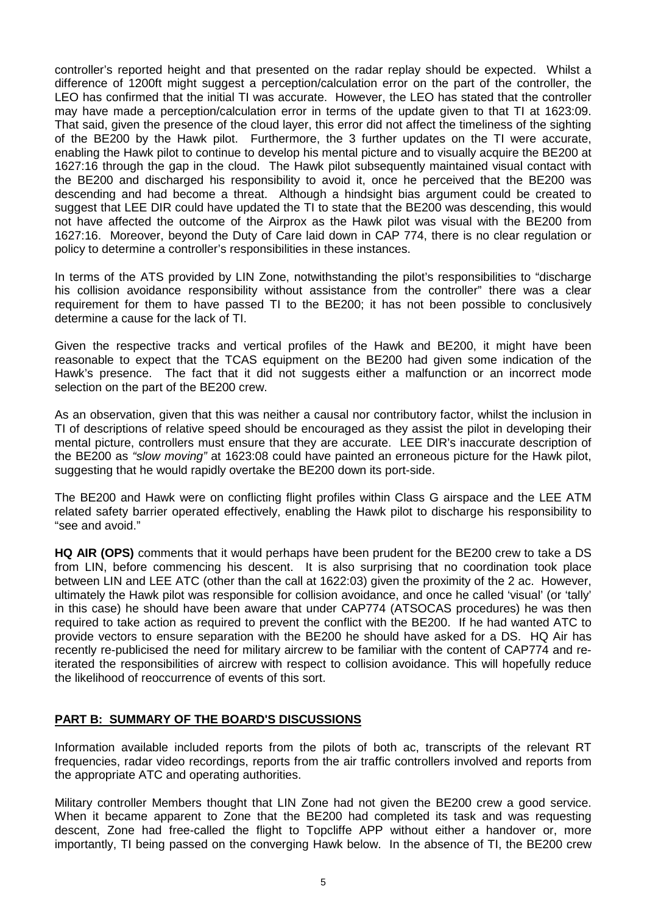controller's reported height and that presented on the radar replay should be expected. Whilst a difference of 1200ft might suggest a perception/calculation error on the part of the controller, the LEO has confirmed that the initial TI was accurate. However, the LEO has stated that the controller may have made a perception/calculation error in terms of the update given to that TI at 1623:09. That said, given the presence of the cloud layer, this error did not affect the timeliness of the sighting of the BE200 by the Hawk pilot. Furthermore, the 3 further updates on the TI were accurate, enabling the Hawk pilot to continue to develop his mental picture and to visually acquire the BE200 at 1627:16 through the gap in the cloud. The Hawk pilot subsequently maintained visual contact with the BE200 and discharged his responsibility to avoid it, once he perceived that the BE200 was descending and had become a threat. Although a hindsight bias argument could be created to suggest that LEE DIR could have updated the TI to state that the BE200 was descending, this would not have affected the outcome of the Airprox as the Hawk pilot was visual with the BE200 from 1627:16. Moreover, beyond the Duty of Care laid down in CAP 774, there is no clear regulation or policy to determine a controller's responsibilities in these instances.

In terms of the ATS provided by LIN Zone, notwithstanding the pilot's responsibilities to "discharge his collision avoidance responsibility without assistance from the controller" there was a clear requirement for them to have passed TI to the BE200; it has not been possible to conclusively determine a cause for the lack of TI.

Given the respective tracks and vertical profiles of the Hawk and BE200, it might have been reasonable to expect that the TCAS equipment on the BE200 had given some indication of the Hawk's presence. The fact that it did not suggests either a malfunction or an incorrect mode selection on the part of the BE200 crew.

As an observation, given that this was neither a causal nor contributory factor, whilst the inclusion in TI of descriptions of relative speed should be encouraged as they assist the pilot in developing their mental picture, controllers must ensure that they are accurate. LEE DIR's inaccurate description of the BE200 as *"slow moving"* at 1623:08 could have painted an erroneous picture for the Hawk pilot, suggesting that he would rapidly overtake the BE200 down its port-side.

The BE200 and Hawk were on conflicting flight profiles within Class G airspace and the LEE ATM related safety barrier operated effectively, enabling the Hawk pilot to discharge his responsibility to "see and avoid."

**HQ AIR (OPS)** comments that it would perhaps have been prudent for the BE200 crew to take a DS from LIN, before commencing his descent. It is also surprising that no coordination took place between LIN and LEE ATC (other than the call at 1622:03) given the proximity of the 2 ac. However, ultimately the Hawk pilot was responsible for collision avoidance, and once he called 'visual' (or 'tally' in this case) he should have been aware that under CAP774 (ATSOCAS procedures) he was then required to take action as required to prevent the conflict with the BE200. If he had wanted ATC to provide vectors to ensure separation with the BE200 he should have asked for a DS. HQ Air has recently re-publicised the need for military aircrew to be familiar with the content of CAP774 and reiterated the responsibilities of aircrew with respect to collision avoidance. This will hopefully reduce the likelihood of reoccurrence of events of this sort.

## **PART B: SUMMARY OF THE BOARD'S DISCUSSIONS**

Information available included reports from the pilots of both ac, transcripts of the relevant RT frequencies, radar video recordings, reports from the air traffic controllers involved and reports from the appropriate ATC and operating authorities.

Military controller Members thought that LIN Zone had not given the BE200 crew a good service. When it became apparent to Zone that the BE200 had completed its task and was requesting descent, Zone had free-called the flight to Topcliffe APP without either a handover or, more importantly, TI being passed on the converging Hawk below. In the absence of TI, the BE200 crew